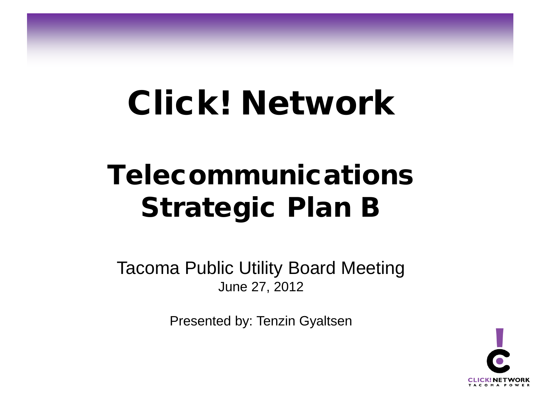# Click! Network

# Telecommunications Strategic Plan B

Tacoma Public Utility Board Meeting June 27, 2012

Presented by: Tenzin Gyaltsen

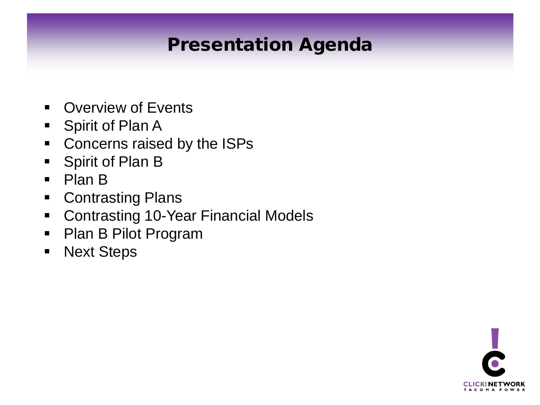### Presentation Agenda

- **Overview of Events**
- Spirit of Plan A
- **Concerns raised by the ISPs**
- **Spirit of Plan B**
- Plan B
- **Contrasting Plans**
- **Contrasting 10-Year Financial Models**
- Plan B Pilot Program
- **Next Steps**

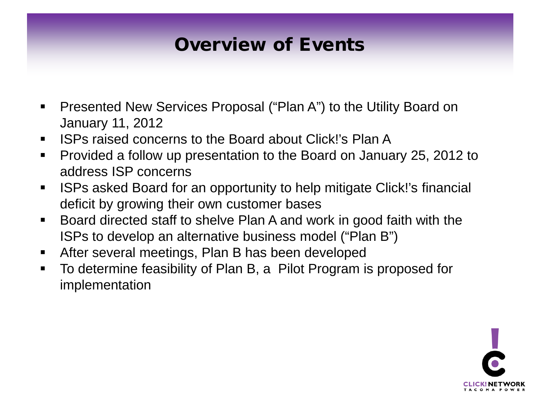### Overview of Events

- Presented New Services Proposal ("Plan A") to the Utility Board on January 11, 2012
- ISPs raised concerns to the Board about Click!'s Plan A
- Provided a follow up presentation to the Board on January 25, 2012 to address ISP concerns
- **ISPs asked Board for an opportunity to help mitigate Click!'s financial** deficit by growing their own customer bases
- Board directed staff to shelve Plan A and work in good faith with the ISPs to develop an alternative business model ("Plan B")
- **After several meetings, Plan B has been developed**
- To determine feasibility of Plan B, a Pilot Program is proposed for implementation

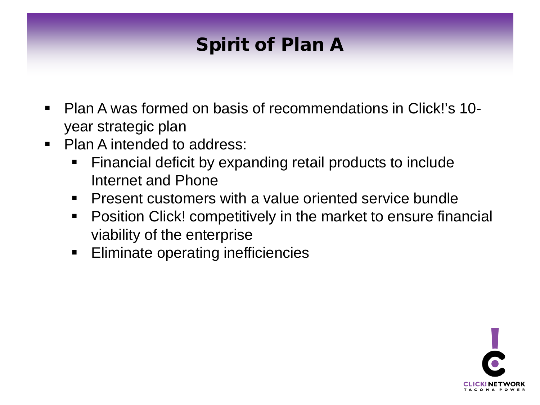# Spirit of Plan A

- Plan A was formed on basis of recommendations in Click!'s 10 year strategic plan
- Plan A intended to address:
	- Financial deficit by expanding retail products to include Internet and Phone
	- **Present customers with a value oriented service bundle**
	- **Position Click! competitively in the market to ensure financial** viability of the enterprise
	- **Eliminate operating inefficiencies**

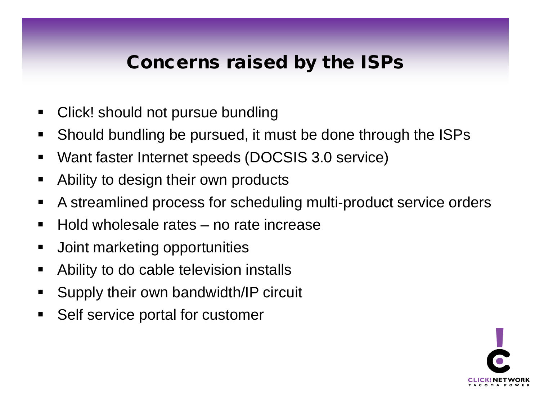#### Concerns raised by the ISPs

- Click! should not pursue bundling
- Should bundling be pursued, it must be done through the ISPs
- Want faster Internet speeds (DOCSIS 3.0 service)
- **Ability to design their own products**
- A streamlined process for scheduling multi-product service orders
- Hold wholesale rates no rate increase
- **Joint marketing opportunities**
- Ability to do cable television installs
- **Supply their own bandwidth/IP circuit**
- **Self service portal for customer**

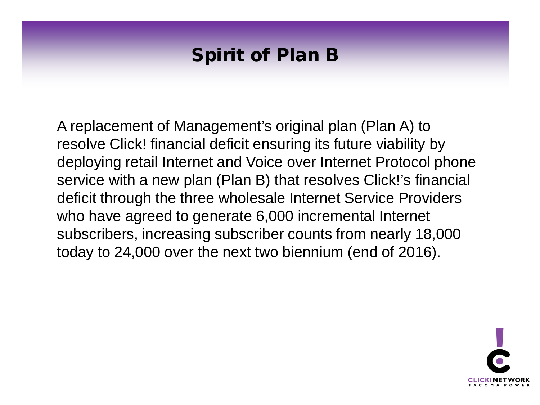#### Spirit of Plan B

A replacement of Management's original plan (Plan A) to resolve Click! financial deficit ensuring its future viability by deploying retail Internet and Voice over Internet Protocol phone service with a new plan (Plan B) that resolves Click!'s financial deficit through the three wholesale Internet Service Providers who have agreed to generate 6,000 incremental Internet subscribers, increasing subscriber counts from nearly 18,000 today to 24,000 over the next two biennium (end of 2016).

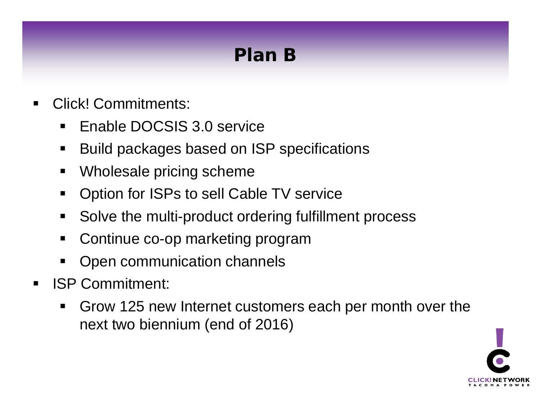# Plan B

- **Click! Commitments:** 
	- **Enable DOCSIS 3.0 service**
	- Build packages based on ISP specifications
	- Wholesale pricing scheme
	- **Option for ISPs to sell Cable TV service**
	- Solve the multi-product ordering fulfillment process
	- Continue co-op marketing program
	- Open communication channels
- **ISP Commitment:** 
	- Grow 125 new Internet customers each per month over the next two biennium (end of 2016)

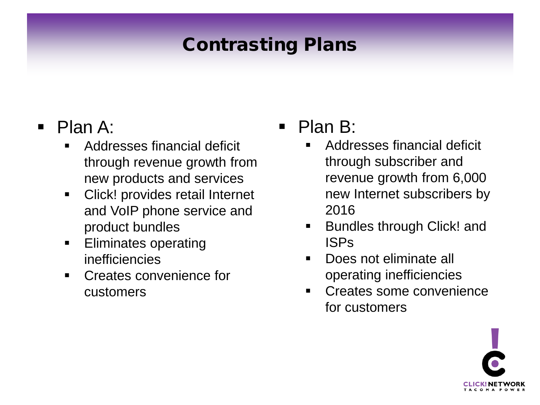# Contrasting Plans

#### • Plan A:

- Addresses financial deficit through revenue growth from new products and services
- **EXECUTE:** Click! provides retail Internet and VoIP phone service and product bundles
- Eliminates operating inefficiencies
- Creates convenience for customers

#### • Plan B:

- Addresses financial deficit through subscriber and revenue growth from 6,000 new Internet subscribers by 2016
- **Bundles through Click! and** ISPs
- Does not eliminate all operating inefficiencies
- Creates some convenience for customers

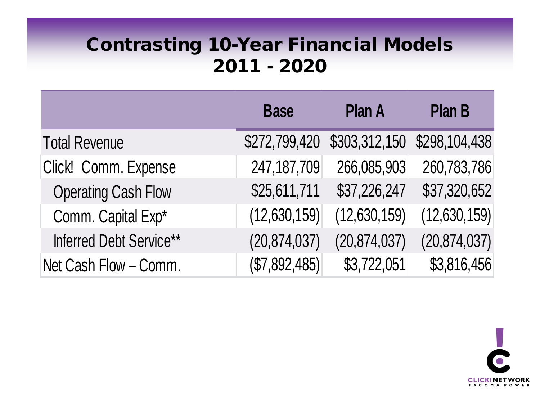#### Contrasting 10-Year Financial Models 2011 - 2020

|                            | <b>Base</b>    | <b>Plan A</b>  | <b>Plan B</b>  |
|----------------------------|----------------|----------------|----------------|
| <b>Total Revenue</b>       | \$272,799,420  | \$303,312,150  | \$298,104,438  |
| Click! Comm. Expense       | 247, 187, 709  | 266,085,903    | 260,783,786    |
| <b>Operating Cash Flow</b> | \$25,611,711   | \$37,226,247   | \$37,320,652   |
| Comm. Capital Exp*         | (12,630,159)   | (12,630,159)   | (12,630,159)   |
| Inferred Debt Service**    | (20, 874, 037) | (20, 874, 037) | (20, 874, 037) |
| Net Cash Flow - Comm.      | (\$7,892,485)  | \$3,722,051    | \$3,816,456    |

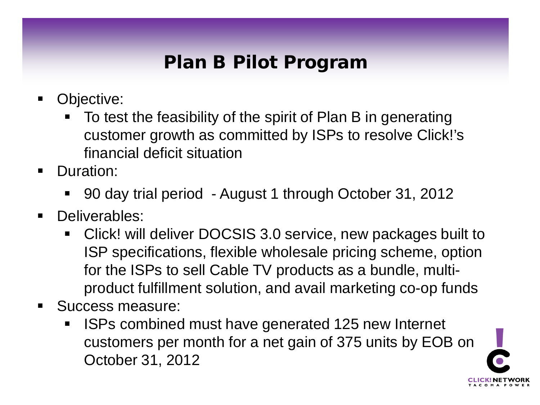### Plan B Pilot Program

- **Dbjective:** 
	- To test the feasibility of the spirit of Plan B in generating customer growth as committed by ISPs to resolve Click!'s financial deficit situation
- **Duration:** 
	- 90 day trial period August 1 through October 31, 2012
- **Deliverables:** 
	- Click! will deliver DOCSIS 3.0 service, new packages built to ISP specifications, flexible wholesale pricing scheme, option for the ISPs to sell Cable TV products as a bundle, multiproduct fulfillment solution, and avail marketing co-op funds
- Success measure:
	- ISPs combined must have generated 125 new Internet customers per month for a net gain of 375 units by EOB on October 31, 2012